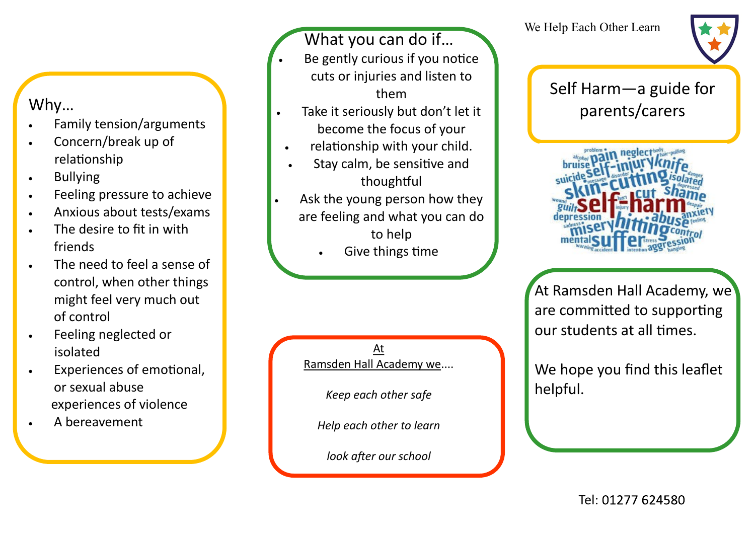## Why…

- Family tension/arguments
- Concern/break up of relationship
- Bullying
- Feeling pressure to achieve
- Anxious about tests/exams
- The desire to fit in with friends
- The need to feel a sense of control, when other things might feel very much out of control
- Feeling neglected or isolated
- Experiences of emotional, or sexual abuse experiences of violence
- A bereavement

## What you can do if...

- Be gently curious if you notice cuts or injuries and listen to them
- Take it seriously but don't let it become the focus of your
- relationship with your child.
- Stay calm, be sensitive and thoughtful
- Ask the young person how they are feeling and what you can do to help
	- Give things time

At Ramsden Hall Academy we....

*Keep each other safe*

*Help each other to learn*

*look after our school*



# Self Harm—a guide for parents/carers



At Ramsden Hall Academy, we are committed to supporting our students at all times.

We hope you find this leaflet helpful.